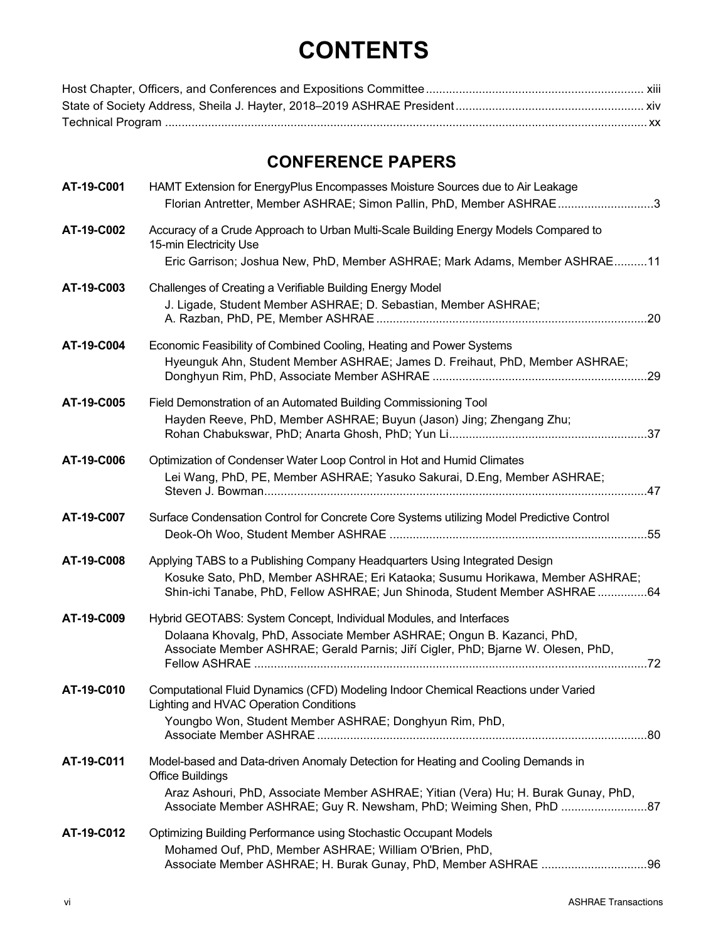## **CONTENTS**

## **CONFERENCE PAPERS**

| AT-19-C001 | HAMT Extension for EnergyPlus Encompasses Moisture Sources due to Air Leakage<br>Florian Antretter, Member ASHRAE; Simon Pallin, PhD, Member ASHRAE3                                                                                                                    |
|------------|-------------------------------------------------------------------------------------------------------------------------------------------------------------------------------------------------------------------------------------------------------------------------|
| AT-19-C002 | Accuracy of a Crude Approach to Urban Multi-Scale Building Energy Models Compared to<br>15-min Electricity Use<br>Eric Garrison; Joshua New, PhD, Member ASHRAE; Mark Adams, Member ASHRAE11                                                                            |
| AT-19-C003 | Challenges of Creating a Verifiable Building Energy Model<br>J. Ligade, Student Member ASHRAE; D. Sebastian, Member ASHRAE;                                                                                                                                             |
| AT-19-C004 | Economic Feasibility of Combined Cooling, Heating and Power Systems<br>Hyeunguk Ahn, Student Member ASHRAE; James D. Freihaut, PhD, Member ASHRAE;                                                                                                                      |
| AT-19-C005 | Field Demonstration of an Automated Building Commissioning Tool<br>Hayden Reeve, PhD, Member ASHRAE; Buyun (Jason) Jing; Zhengang Zhu;                                                                                                                                  |
| AT-19-C006 | Optimization of Condenser Water Loop Control in Hot and Humid Climates<br>Lei Wang, PhD, PE, Member ASHRAE; Yasuko Sakurai, D.Eng, Member ASHRAE;                                                                                                                       |
| AT-19-C007 | Surface Condensation Control for Concrete Core Systems utilizing Model Predictive Control                                                                                                                                                                               |
| AT-19-C008 | Applying TABS to a Publishing Company Headquarters Using Integrated Design<br>Kosuke Sato, PhD, Member ASHRAE; Eri Kataoka; Susumu Horikawa, Member ASHRAE;<br>Shin-ichi Tanabe, PhD, Fellow ASHRAE; Jun Shinoda, Student Member ASHRAE64                               |
| AT-19-C009 | Hybrid GEOTABS: System Concept, Individual Modules, and Interfaces<br>Dolaana Khovalg, PhD, Associate Member ASHRAE; Ongun B. Kazanci, PhD,<br>Associate Member ASHRAE; Gerald Parnis; Jiří Cigler, PhD; Bjarne W. Olesen, PhD,                                         |
| AT-19-C010 | Computational Fluid Dynamics (CFD) Modeling Indoor Chemical Reactions under Varied<br>Lighting and HVAC Operation Conditions<br>Youngbo Won, Student Member ASHRAE; Donghyun Rim, PhD,<br>Associate Member ASHRAE.                                                      |
| AT-19-C011 | Model-based and Data-driven Anomaly Detection for Heating and Cooling Demands in<br><b>Office Buildings</b><br>Araz Ashouri, PhD, Associate Member ASHRAE; Yitian (Vera) Hu; H. Burak Gunay, PhD,<br>Associate Member ASHRAE; Guy R. Newsham, PhD; Weiming Shen, PhD 87 |
| AT-19-C012 | Optimizing Building Performance using Stochastic Occupant Models<br>Mohamed Ouf, PhD, Member ASHRAE; William O'Brien, PhD,                                                                                                                                              |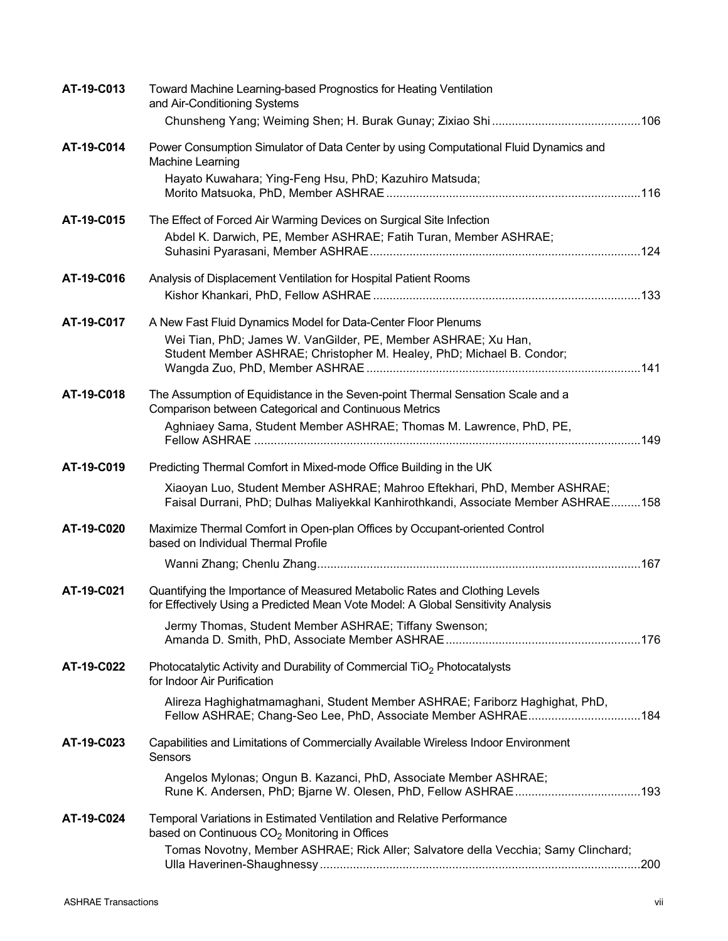| AT-19-C013 | Toward Machine Learning-based Prognostics for Heating Ventilation<br>and Air-Conditioning Systems                                                              |  |
|------------|----------------------------------------------------------------------------------------------------------------------------------------------------------------|--|
|            |                                                                                                                                                                |  |
| AT-19-C014 | Power Consumption Simulator of Data Center by using Computational Fluid Dynamics and<br>Machine Learning                                                       |  |
|            | Hayato Kuwahara; Ying-Feng Hsu, PhD; Kazuhiro Matsuda;                                                                                                         |  |
| AT-19-C015 | The Effect of Forced Air Warming Devices on Surgical Site Infection                                                                                            |  |
|            | Abdel K. Darwich, PE, Member ASHRAE; Fatih Turan, Member ASHRAE;                                                                                               |  |
| AT-19-C016 | Analysis of Displacement Ventilation for Hospital Patient Rooms                                                                                                |  |
|            |                                                                                                                                                                |  |
| AT-19-C017 | A New Fast Fluid Dynamics Model for Data-Center Floor Plenums                                                                                                  |  |
|            | Wei Tian, PhD; James W. VanGilder, PE, Member ASHRAE; Xu Han,                                                                                                  |  |
|            | Student Member ASHRAE; Christopher M. Healey, PhD; Michael B. Condor;                                                                                          |  |
| AT-19-C018 | The Assumption of Equidistance in the Seven-point Thermal Sensation Scale and a                                                                                |  |
|            | Comparison between Categorical and Continuous Metrics                                                                                                          |  |
|            | Aghniaey Sama, Student Member ASHRAE; Thomas M. Lawrence, PhD, PE,                                                                                             |  |
| AT-19-C019 | Predicting Thermal Comfort in Mixed-mode Office Building in the UK                                                                                             |  |
|            | Xiaoyan Luo, Student Member ASHRAE; Mahroo Eftekhari, PhD, Member ASHRAE;<br>Faisal Durrani, PhD; Dulhas Maliyekkal Kanhirothkandi, Associate Member ASHRAE158 |  |
| AT-19-C020 | Maximize Thermal Comfort in Open-plan Offices by Occupant-oriented Control<br>based on Individual Thermal Profile                                              |  |
|            |                                                                                                                                                                |  |
| AT-19-C021 | Quantifying the Importance of Measured Metabolic Rates and Clothing Levels<br>for Effectively Using a Predicted Mean Vote Model: A Global Sensitivity Analysis |  |
|            | Jermy Thomas, Student Member ASHRAE; Tiffany Swenson;                                                                                                          |  |
| AT-19-C022 | Photocatalytic Activity and Durability of Commercial TiO <sub>2</sub> Photocatalysts<br>for Indoor Air Purification                                            |  |
|            | Alireza Haghighatmamaghani, Student Member ASHRAE; Fariborz Haghighat, PhD,<br>Fellow ASHRAE; Chang-Seo Lee, PhD, Associate Member ASHRAE184                   |  |
| AT-19-C023 | Capabilities and Limitations of Commercially Available Wireless Indoor Environment<br>Sensors                                                                  |  |
|            | Angelos Mylonas; Ongun B. Kazanci, PhD, Associate Member ASHRAE;                                                                                               |  |
| AT-19-C024 | Temporal Variations in Estimated Ventilation and Relative Performance<br>based on Continuous $CO2$ Monitoring in Offices                                       |  |
|            | Tomas Novotny, Member ASHRAE; Rick Aller; Salvatore della Vecchia; Samy Clinchard;                                                                             |  |
|            |                                                                                                                                                                |  |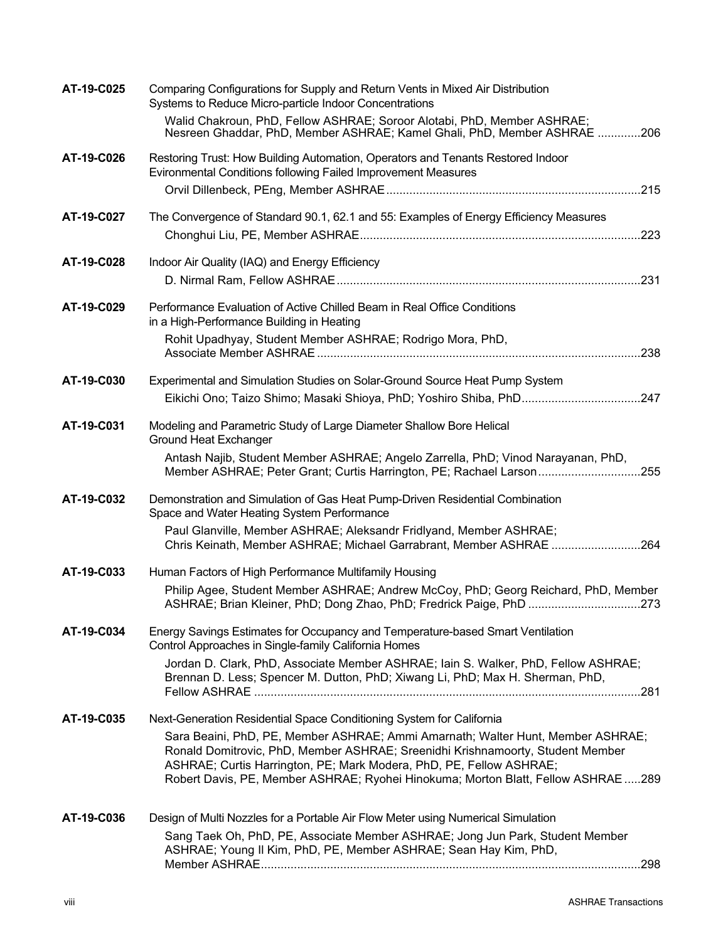| AT-19-C025 | Comparing Configurations for Supply and Return Vents in Mixed Air Distribution<br>Systems to Reduce Micro-particle Indoor Concentrations                                                                                                                                                                                     |
|------------|------------------------------------------------------------------------------------------------------------------------------------------------------------------------------------------------------------------------------------------------------------------------------------------------------------------------------|
|            | Walid Chakroun, PhD, Fellow ASHRAE; Soroor Alotabi, PhD, Member ASHRAE;<br>Nesreen Ghaddar, PhD, Member ASHRAE; Kamel Ghali, PhD, Member ASHRAE 206                                                                                                                                                                          |
| AT-19-C026 | Restoring Trust: How Building Automation, Operators and Tenants Restored Indoor<br>Evironmental Conditions following Failed Improvement Measures                                                                                                                                                                             |
|            |                                                                                                                                                                                                                                                                                                                              |
| AT-19-C027 | The Convergence of Standard 90.1, 62.1 and 55: Examples of Energy Efficiency Measures                                                                                                                                                                                                                                        |
| AT-19-C028 | Indoor Air Quality (IAQ) and Energy Efficiency                                                                                                                                                                                                                                                                               |
|            |                                                                                                                                                                                                                                                                                                                              |
| AT-19-C029 | Performance Evaluation of Active Chilled Beam in Real Office Conditions<br>in a High-Performance Building in Heating                                                                                                                                                                                                         |
|            | Rohit Upadhyay, Student Member ASHRAE; Rodrigo Mora, PhD,                                                                                                                                                                                                                                                                    |
| AT-19-C030 | Experimental and Simulation Studies on Solar-Ground Source Heat Pump System                                                                                                                                                                                                                                                  |
|            | Eikichi Ono; Taizo Shimo; Masaki Shioya, PhD; Yoshiro Shiba, PhD247                                                                                                                                                                                                                                                          |
| AT-19-C031 | Modeling and Parametric Study of Large Diameter Shallow Bore Helical<br><b>Ground Heat Exchanger</b>                                                                                                                                                                                                                         |
|            | Antash Najib, Student Member ASHRAE; Angelo Zarrella, PhD; Vinod Narayanan, PhD,<br>Member ASHRAE; Peter Grant; Curtis Harrington, PE; Rachael Larson255                                                                                                                                                                     |
| AT-19-C032 | Demonstration and Simulation of Gas Heat Pump-Driven Residential Combination<br>Space and Water Heating System Performance                                                                                                                                                                                                   |
|            | Paul Glanville, Member ASHRAE; Aleksandr Fridlyand, Member ASHRAE;<br>Chris Keinath, Member ASHRAE; Michael Garrabrant, Member ASHRAE 264                                                                                                                                                                                    |
| AT-19-C033 | Human Factors of High Performance Multifamily Housing                                                                                                                                                                                                                                                                        |
|            | Philip Agee, Student Member ASHRAE; Andrew McCoy, PhD; Georg Reichard, PhD, Member<br>ASHRAE; Brian Kleiner, PhD; Dong Zhao, PhD; Fredrick Paige, PhD 273                                                                                                                                                                    |
| AT-19-C034 | Energy Savings Estimates for Occupancy and Temperature-based Smart Ventilation<br>Control Approaches in Single-family California Homes                                                                                                                                                                                       |
|            | Jordan D. Clark, PhD, Associate Member ASHRAE; Iain S. Walker, PhD, Fellow ASHRAE;<br>Brennan D. Less; Spencer M. Dutton, PhD; Xiwang Li, PhD; Max H. Sherman, PhD,                                                                                                                                                          |
| AT-19-C035 | Next-Generation Residential Space Conditioning System for California                                                                                                                                                                                                                                                         |
|            | Sara Beaini, PhD, PE, Member ASHRAE; Ammi Amarnath; Walter Hunt, Member ASHRAE;<br>Ronald Domitrovic, PhD, Member ASHRAE; Sreenidhi Krishnamoorty, Student Member<br>ASHRAE; Curtis Harrington, PE; Mark Modera, PhD, PE, Fellow ASHRAE;<br>Robert Davis, PE, Member ASHRAE; Ryohei Hinokuma; Morton Blatt, Fellow ASHRAE289 |
|            |                                                                                                                                                                                                                                                                                                                              |
| AT-19-C036 | Design of Multi Nozzles for a Portable Air Flow Meter using Numerical Simulation                                                                                                                                                                                                                                             |
|            | Sang Taek Oh, PhD, PE, Associate Member ASHRAE; Jong Jun Park, Student Member<br>ASHRAE; Young II Kim, PhD, PE, Member ASHRAE; Sean Hay Kim, PhD,                                                                                                                                                                            |
|            |                                                                                                                                                                                                                                                                                                                              |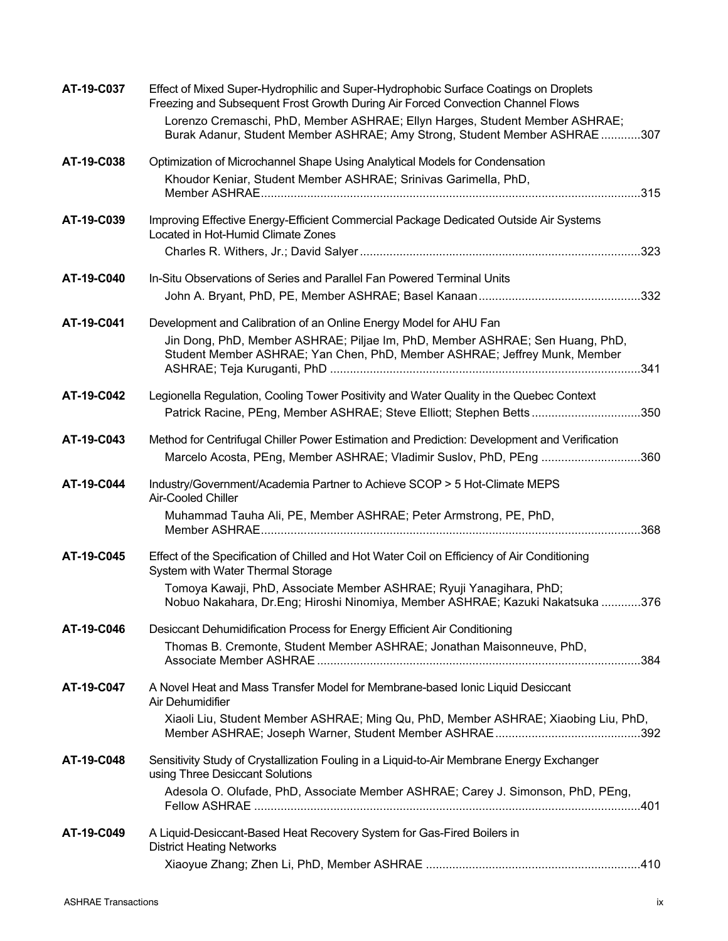| AT-19-C037 | Effect of Mixed Super-Hydrophilic and Super-Hydrophobic Surface Coatings on Droplets<br>Freezing and Subsequent Frost Growth During Air Forced Convection Channel Flows<br>Lorenzo Cremaschi, PhD, Member ASHRAE; Ellyn Harges, Student Member ASHRAE;<br>Burak Adanur, Student Member ASHRAE; Amy Strong, Student Member ASHRAE307 |
|------------|-------------------------------------------------------------------------------------------------------------------------------------------------------------------------------------------------------------------------------------------------------------------------------------------------------------------------------------|
| AT-19-C038 | Optimization of Microchannel Shape Using Analytical Models for Condensation                                                                                                                                                                                                                                                         |
|            | Khoudor Keniar, Student Member ASHRAE; Srinivas Garimella, PhD,                                                                                                                                                                                                                                                                     |
| AT-19-C039 | Improving Effective Energy-Efficient Commercial Package Dedicated Outside Air Systems<br>Located in Hot-Humid Climate Zones                                                                                                                                                                                                         |
| AT-19-C040 | In-Situ Observations of Series and Parallel Fan Powered Terminal Units                                                                                                                                                                                                                                                              |
| AT-19-C041 | Development and Calibration of an Online Energy Model for AHU Fan<br>Jin Dong, PhD, Member ASHRAE; Piljae Im, PhD, Member ASHRAE; Sen Huang, PhD,<br>Student Member ASHRAE; Yan Chen, PhD, Member ASHRAE; Jeffrey Munk, Member                                                                                                      |
| AT-19-C042 | Legionella Regulation, Cooling Tower Positivity and Water Quality in the Quebec Context<br>Patrick Racine, PEng, Member ASHRAE; Steve Elliott; Stephen Betts350                                                                                                                                                                     |
| AT-19-C043 | Method for Centrifugal Chiller Power Estimation and Prediction: Development and Verification<br>Marcelo Acosta, PEng, Member ASHRAE; Vladimir Suslov, PhD, PEng 360                                                                                                                                                                 |
| AT-19-C044 | Industry/Government/Academia Partner to Achieve SCOP > 5 Hot-Climate MEPS<br>Air-Cooled Chiller<br>Muhammad Tauha Ali, PE, Member ASHRAE; Peter Armstrong, PE, PhD,                                                                                                                                                                 |
| AT-19-C045 | Effect of the Specification of Chilled and Hot Water Coil on Efficiency of Air Conditioning<br>System with Water Thermal Storage<br>Tomoya Kawaji, PhD, Associate Member ASHRAE; Ryuji Yanagihara, PhD;<br>Nobuo Nakahara, Dr.Eng; Hiroshi Ninomiya, Member ASHRAE; Kazuki Nakatsuka 376                                            |
| AT-19-C046 | Desiccant Dehumidification Process for Energy Efficient Air Conditioning<br>Thomas B. Cremonte, Student Member ASHRAE; Jonathan Maisonneuve, PhD,                                                                                                                                                                                   |
| AT-19-C047 | A Novel Heat and Mass Transfer Model for Membrane-based Ionic Liquid Desiccant<br>Air Dehumidifier<br>Xiaoli Liu, Student Member ASHRAE; Ming Qu, PhD, Member ASHRAE; Xiaobing Liu, PhD,                                                                                                                                            |
| AT-19-C048 | Sensitivity Study of Crystallization Fouling in a Liquid-to-Air Membrane Energy Exchanger<br>using Three Desiccant Solutions<br>Adesola O. Olufade, PhD, Associate Member ASHRAE; Carey J. Simonson, PhD, PEng,                                                                                                                     |
| AT-19-C049 | A Liquid-Desiccant-Based Heat Recovery System for Gas-Fired Boilers in<br><b>District Heating Networks</b>                                                                                                                                                                                                                          |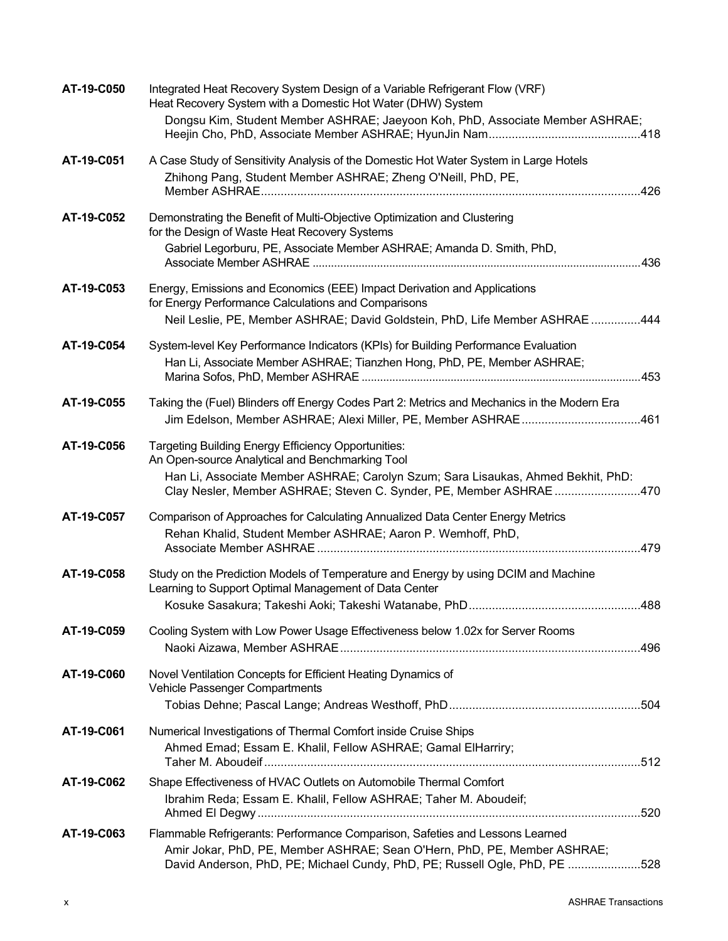| AT-19-C050 | Integrated Heat Recovery System Design of a Variable Refrigerant Flow (VRF)<br>Heat Recovery System with a Domestic Hot Water (DHW) System                    |  |
|------------|---------------------------------------------------------------------------------------------------------------------------------------------------------------|--|
|            | Dongsu Kim, Student Member ASHRAE; Jaeyoon Koh, PhD, Associate Member ASHRAE;                                                                                 |  |
| AT-19-C051 | A Case Study of Sensitivity Analysis of the Domestic Hot Water System in Large Hotels                                                                         |  |
|            | Zhihong Pang, Student Member ASHRAE; Zheng O'Neill, PhD, PE,                                                                                                  |  |
|            |                                                                                                                                                               |  |
| AT-19-C052 | Demonstrating the Benefit of Multi-Objective Optimization and Clustering<br>for the Design of Waste Heat Recovery Systems                                     |  |
|            | Gabriel Legorburu, PE, Associate Member ASHRAE; Amanda D. Smith, PhD,                                                                                         |  |
|            |                                                                                                                                                               |  |
| AT-19-C053 | Energy, Emissions and Economics (EEE) Impact Derivation and Applications<br>for Energy Performance Calculations and Comparisons                               |  |
|            | Neil Leslie, PE, Member ASHRAE; David Goldstein, PhD, Life Member ASHRAE444                                                                                   |  |
| AT-19-C054 | System-level Key Performance Indicators (KPIs) for Building Performance Evaluation                                                                            |  |
|            | Han Li, Associate Member ASHRAE; Tianzhen Hong, PhD, PE, Member ASHRAE;                                                                                       |  |
|            |                                                                                                                                                               |  |
| AT-19-C055 | Taking the (Fuel) Blinders off Energy Codes Part 2: Metrics and Mechanics in the Modern Era<br>Jim Edelson, Member ASHRAE; Alexi Miller, PE, Member ASHRAE461 |  |
| AT-19-C056 | <b>Targeting Building Energy Efficiency Opportunities:</b><br>An Open-source Analytical and Benchmarking Tool                                                 |  |
|            | Han Li, Associate Member ASHRAE; Carolyn Szum; Sara Lisaukas, Ahmed Bekhit, PhD:<br>Clay Nesler, Member ASHRAE; Steven C. Synder, PE, Member ASHRAE470        |  |
| AT-19-C057 | Comparison of Approaches for Calculating Annualized Data Center Energy Metrics                                                                                |  |
|            | Rehan Khalid, Student Member ASHRAE; Aaron P. Wemhoff, PhD,                                                                                                   |  |
| AT-19-C058 | Study on the Prediction Models of Temperature and Energy by using DCIM and Machine                                                                            |  |
|            | Learning to Support Optimal Management of Data Center                                                                                                         |  |
|            |                                                                                                                                                               |  |
| AT-19-C059 | Cooling System with Low Power Usage Effectiveness below 1.02x for Server Rooms                                                                                |  |
| AT-19-C060 | Novel Ventilation Concepts for Efficient Heating Dynamics of<br>Vehicle Passenger Compartments                                                                |  |
|            |                                                                                                                                                               |  |
| AT-19-C061 | Numerical Investigations of Thermal Comfort inside Cruise Ships                                                                                               |  |
|            | Ahmed Emad; Essam E. Khalil, Fellow ASHRAE; Gamal ElHarriry;                                                                                                  |  |
| AT-19-C062 | Shape Effectiveness of HVAC Outlets on Automobile Thermal Comfort                                                                                             |  |
|            | Ibrahim Reda; Essam E. Khalil, Fellow ASHRAE; Taher M. Aboudeif;                                                                                              |  |
| AT-19-C063 | Flammable Refrigerants: Performance Comparison, Safeties and Lessons Learned                                                                                  |  |
|            | Amir Jokar, PhD, PE, Member ASHRAE; Sean O'Hern, PhD, PE, Member ASHRAE;<br>David Anderson, PhD, PE; Michael Cundy, PhD, PE; Russell Ogle, PhD, PE 528        |  |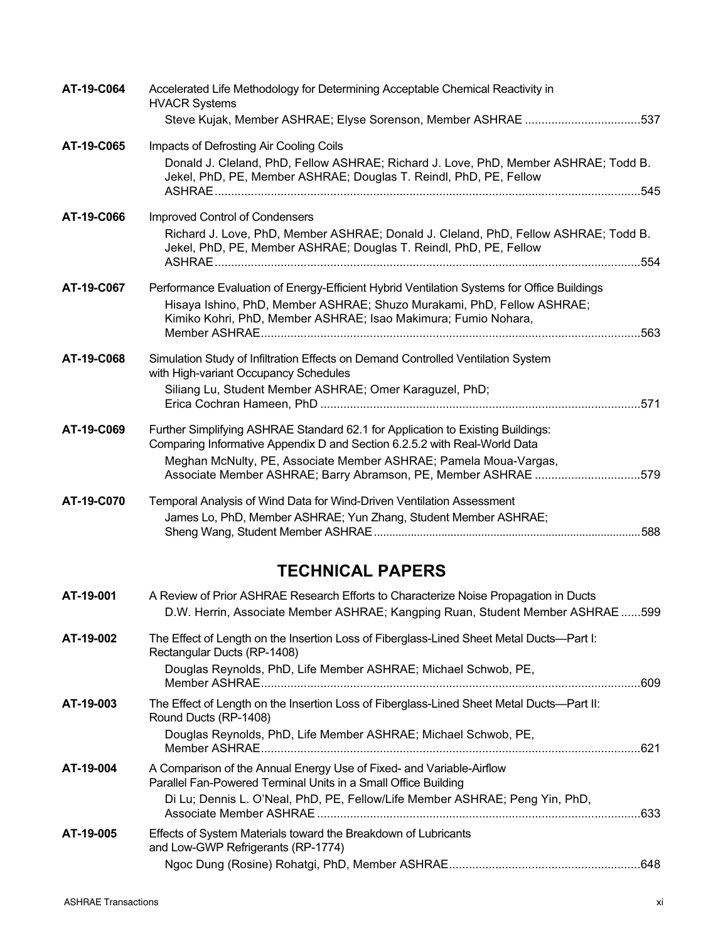| AT-19-C064 | Accelerated Life Methodology for Determining Acceptable Chemical Reactivity in<br><b>HVACR Systems</b>                                                                                                                                         |  |
|------------|------------------------------------------------------------------------------------------------------------------------------------------------------------------------------------------------------------------------------------------------|--|
|            | Steve Kujak, Member ASHRAE; Elyse Sorenson, Member ASHRAE 537                                                                                                                                                                                  |  |
| AT-19-C065 | Impacts of Defrosting Air Cooling Coils                                                                                                                                                                                                        |  |
|            | Donald J. Cleland, PhD, Fellow ASHRAE; Richard J. Love, PhD, Member ASHRAE; Todd B.<br>Jekel, PhD, PE, Member ASHRAE; Douglas T. Reindl, PhD, PE, Fellow                                                                                       |  |
| AT-19-C066 | <b>Improved Control of Condensers</b>                                                                                                                                                                                                          |  |
|            | Richard J. Love, PhD, Member ASHRAE; Donald J. Cleland, PhD, Fellow ASHRAE; Todd B.<br>Jekel, PhD, PE, Member ASHRAE; Douglas T. Reindl, PhD, PE, Fellow                                                                                       |  |
|            |                                                                                                                                                                                                                                                |  |
| AT-19-C067 | Performance Evaluation of Energy-Efficient Hybrid Ventilation Systems for Office Buildings<br>Hisaya Ishino, PhD, Member ASHRAE; Shuzo Murakami, PhD, Fellow ASHRAE;<br>Kimiko Kohri, PhD, Member ASHRAE; Isao Makimura; Fumio Nohara,<br>.563 |  |
| AT-19-C068 | Simulation Study of Infiltration Effects on Demand Controlled Ventilation System<br>with High-variant Occupancy Schedules                                                                                                                      |  |
|            | Siliang Lu, Student Member ASHRAE; Omer Karaguzel, PhD;                                                                                                                                                                                        |  |
| AT-19-C069 | Further Simplifying ASHRAE Standard 62.1 for Application to Existing Buildings:<br>Comparing Informative Appendix D and Section 6.2.5.2 with Real-World Data                                                                                   |  |
|            | Meghan McNulty, PE, Associate Member ASHRAE; Pamela Moua-Vargas,<br>Associate Member ASHRAE; Barry Abramson, PE, Member ASHRAE 579                                                                                                             |  |
| AT-19-C070 | Temporal Analysis of Wind Data for Wind-Driven Ventilation Assessment                                                                                                                                                                          |  |
|            | James Lo, PhD, Member ASHRAE; Yun Zhang, Student Member ASHRAE;                                                                                                                                                                                |  |

## **TECHNICAL PAPERS**

| AT-19-001 | A Review of Prior ASHRAE Research Efforts to Characterize Noise Propagation in Ducts<br>D.W. Herrin, Associate Member ASHRAE; Kangping Ruan, Student Member ASHRAE599                                                 |      |
|-----------|-----------------------------------------------------------------------------------------------------------------------------------------------------------------------------------------------------------------------|------|
| AT-19-002 | The Effect of Length on the Insertion Loss of Fiberglass-Lined Sheet Metal Ducts—Part I:<br>Rectangular Ducts (RP-1408)                                                                                               |      |
|           | Douglas Reynolds, PhD, Life Member ASHRAE; Michael Schwob, PE,                                                                                                                                                        | .609 |
| AT-19-003 | The Effect of Length on the Insertion Loss of Fiberglass-Lined Sheet Metal Ducts—Part II:<br>Round Ducts (RP-1408)                                                                                                    |      |
|           | Douglas Reynolds, PhD, Life Member ASHRAE; Michael Schwob, PE,                                                                                                                                                        |      |
| AT-19-004 | A Comparison of the Annual Energy Use of Fixed- and Variable-Airflow<br>Parallel Fan-Powered Terminal Units in a Small Office Building<br>Di Lu; Dennis L. O'Neal, PhD, PE, Fellow/Life Member ASHRAE; Peng Yin, PhD, |      |
|           | Associate Member ASHRAE.                                                                                                                                                                                              | 633  |
| AT-19-005 | Effects of System Materials toward the Breakdown of Lubricants<br>and Low-GWP Refrigerants (RP-1774)                                                                                                                  |      |
|           |                                                                                                                                                                                                                       |      |